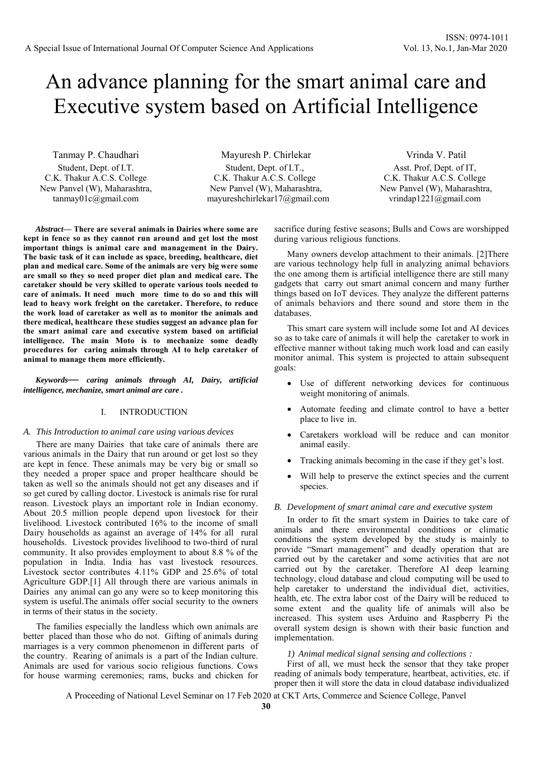# An advance planning for the smart animal care and Executive system based on Artificial Intelligence

Tanmay P. Chaudhari Student, Dept. of I.T. C.K. Thakur A.C.S. College New Panvel (W), Maharashtra, tanmay01c@gmail.com

 Mayuresh P. Chirlekar Student, Dept. of I.T., C.K. Thakur A.C.S. College New Panvel (W), Maharashtra, mayureshchirlekar17@gmail.com

 Vrinda V. Patil Asst. Prof, Dept. of IT, C.K. Thakur A.C.S. College New Panvel (W), Maharashtra, vrindap1221@gmail.com

*Abstract***— There are several animals in Dairies where some are kept in fence so as they cannot run around and get lost the most important things is animal care and management in the Dairy. The basic task of it can include as space, breeding, healthcare, diet plan and medical care. Some of the animals are very big were some are small so they so need proper diet plan and medical care. The caretaker should be very skilled to operate various tools needed to care of animals. It need much more time to do so and this will lead to heavy work freight on the caretaker. Therefore, to reduce the work load of caretaker as well as to monitor the animals and there medical, healthcare these studies suggest an advance plan for the smart animal care and executive system based on artificial intelligence. The main Moto is to mechanize some deadly procedures for caring animals through AI to help caretaker of animal to manage them more efficiently.** 

*Keywords— caring animals through AI, Dairy, artificial intelligence, mechanize, smart animal are care .* 

## I. INTRODUCTION

#### *A. This Introduction to animal care using various devices*

There are many Dairies that take care of animals there are various animals in the Dairy that run around or get lost so they are kept in fence. These animals may be very big or small so they needed a proper space and proper healthcare should be taken as well so the animals should not get any diseases and if so get cured by calling doctor. Livestock is animals rise for rural reason. Livestock plays an important role in Indian economy. About 20.5 million people depend upon livestock for their livelihood. Livestock contributed 16% to the income of small Dairy households as against an average of 14% for all rural households. Livestock provides livelihood to two-third of rural community. It also provides employment to about 8.8 % of the population in India. India has vast livestock resources. Livestock sector contributes 4.11% GDP and 25.6% of total Agriculture GDP.[1] All through there are various animals in Dairies any animal can go any were so to keep monitoring this system is useful.The animals offer social security to the owners in terms of their status in the society.

The families especially the landless which own animals are better placed than those who do not. Gifting of animals during marriages is a very common phenomenon in different parts of the country. Rearing of animals is a part of the Indian culture. Animals are used for various socio religious functions. Cows for house warming ceremonies; rams, bucks and chicken for sacrifice during festive seasons; Bulls and Cows are worshipped during various religious functions.

Many owners develop attachment to their animals. [2]There are various technology help full in analyzing animal behaviors the one among them is artificial intelligence there are still many gadgets that carry out smart animal concern and many further things based on IoT devices. They analyze the different patterns of animals behaviors and there sound and store them in the databases.

This smart care system will include some Iot and AI devices so as to take care of animals it will help the caretaker to work in effective manner without taking much work load and can easily monitor animal. This system is projected to attain subsequent goals:

- Use of different networking devices for continuous weight monitoring of animals.
- Automate feeding and climate control to have a better place to live in.
- Caretakers workload will be reduce and can monitor animal easily.
- Tracking animals becoming in the case if they get's lost.
- Will help to preserve the extinct species and the current species.

#### *B. Development of smart animal care and executive system*

In order to fit the smart system in Dairies to take care of animals and there environmental conditions or climatic conditions the system developed by the study is mainly to provide "Smart management" and deadly operation that are carried out by the caretaker and some activities that are not carried out by the caretaker. Therefore AI deep learning technology, cloud database and cloud computing will be used to help caretaker to understand the individual diet, activities, health, etc. The extra labor cost of the Dairy will be reduced to some extent and the quality life of animals will also be increased. This system uses Arduino and Raspberry Pi the overall system design is shown with their basic function and implementation.

#### *1) Animal medical signal sensing and collections :*

First of all, we must heck the sensor that they take proper reading of animals body temperature, heartbeat, activities, etc. if proper then it will store the data in cloud database individualized

A Proceeding of National Level Seminar on 17 Feb 2020 at CKT Arts, Commerce and Science College, Panvel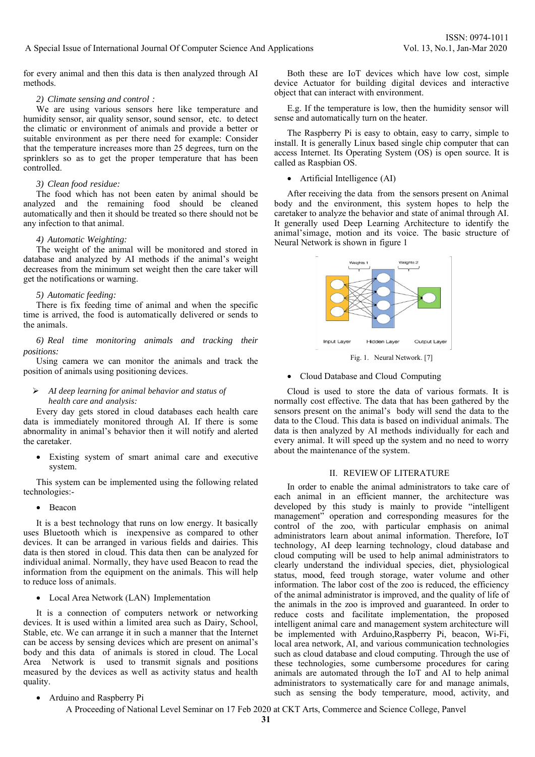A Special Issue of International Journal Of Computer Science And Applications Vol. 13, No.1, Jan-Mar 2020

for every animal and then this data is then analyzed through AI methods.

## *2) Climate sensing and control :*

We are using various sensors here like temperature and humidity sensor, air quality sensor, sound sensor, etc. to detect the climatic or environment of animals and provide a better or suitable environment as per there need for example: Consider that the temperature increases more than 25 degrees, turn on the sprinklers so as to get the proper temperature that has been controlled.

## *3) Clean food residue:*

The food which has not been eaten by animal should be analyzed and the remaining food should be cleaned automatically and then it should be treated so there should not be any infection to that animal.

#### *4) Automatic Weighting:*

The weight of the animal will be monitored and stored in database and analyzed by AI methods if the animal's weight decreases from the minimum set weight then the care taker will get the notifications or warning.

## *5) Automatic feeding:*

There is fix feeding time of animal and when the specific time is arrived, the food is automatically delivered or sends to the animals.

*6) Real time monitoring animals and tracking their positions:* 

Using camera we can monitor the animals and track the position of animals using positioning devices.

## *AI deep learning for animal behavior and status of health care and analysis:*

Every day gets stored in cloud databases each health care data is immediately monitored through AI. If there is some abnormality in animal's behavior then it will notify and alerted the caretaker.

 Existing system of smart animal care and executive system.

This system can be implemented using the following related technologies:-

• Beacon

It is a best technology that runs on low energy. It basically uses Bluetooth which is inexpensive as compared to other devices. It can be arranged in various fields and dairies. This data is then stored in cloud. This data then can be analyzed for individual animal. Normally, they have used Beacon to read the information from the equipment on the animals. This will help to reduce loss of animals.

Local Area Network (LAN) Implementation

It is a connection of computers network or networking devices. It is used within a limited area such as Dairy, School, Stable, etc. We can arrange it in such a manner that the Internet can be access by sensing devices which are present on animal's body and this data of animals is stored in cloud. The Local Area Network is used to transmit signals and positions measured by the devices as well as activity status and health quality.

• Arduino and Raspberry Pi

Both these are IoT devices which have low cost, simple device Actuator for building digital devices and interactive object that can interact with environment.

E.g. If the temperature is low, then the humidity sensor will sense and automatically turn on the heater.

The Raspberry Pi is easy to obtain, easy to carry, simple to install. It is generally Linux based single chip computer that can access Internet. Its Operating System (OS) is open source. It is called as Raspbian OS.

• Artificial Intelligence (AI)

After receiving the data from the sensors present on Animal body and the environment, this system hopes to help the caretaker to analyze the behavior and state of animal through AI. It generally used Deep Learning Architecture to identify the animal'simage, motion and its voice. The basic structure of Neural Network is shown in figure 1



• Cloud Database and Cloud Computing

Cloud is used to store the data of various formats. It is normally cost effective. The data that has been gathered by the sensors present on the animal's body will send the data to the data to the Cloud. This data is based on individual animals. The data is then analyzed by AI methods individually for each and every animal. It will speed up the system and no need to worry about the maintenance of the system.

## II. REVIEW OF LITERATURE

In order to enable the animal administrators to take care of each animal in an efficient manner, the architecture was developed by this study is mainly to provide "intelligent management" operation and corresponding measures for the control of the zoo, with particular emphasis on animal administrators learn about animal information. Therefore, IoT technology, AI deep learning technology, cloud database and cloud computing will be used to help animal administrators to clearly understand the individual species, diet, physiological status, mood, feed trough storage, water volume and other information. The labor cost of the zoo is reduced, the efficiency of the animal administrator is improved, and the quality of life of the animals in the zoo is improved and guaranteed. In order to reduce costs and facilitate implementation, the proposed intelligent animal care and management system architecture will be implemented with Arduino, Raspberry Pi, beacon, Wi-Fi, local area network, AI, and various communication technologies such as cloud database and cloud computing. Through the use of these technologies, some cumbersome procedures for caring animals are automated through the IoT and AI to help animal administrators to systematically care for and manage animals, such as sensing the body temperature, mood, activity, and

A Proceeding of National Level Seminar on 17 Feb 2020 at CKT Arts, Commerce and Science College, Panvel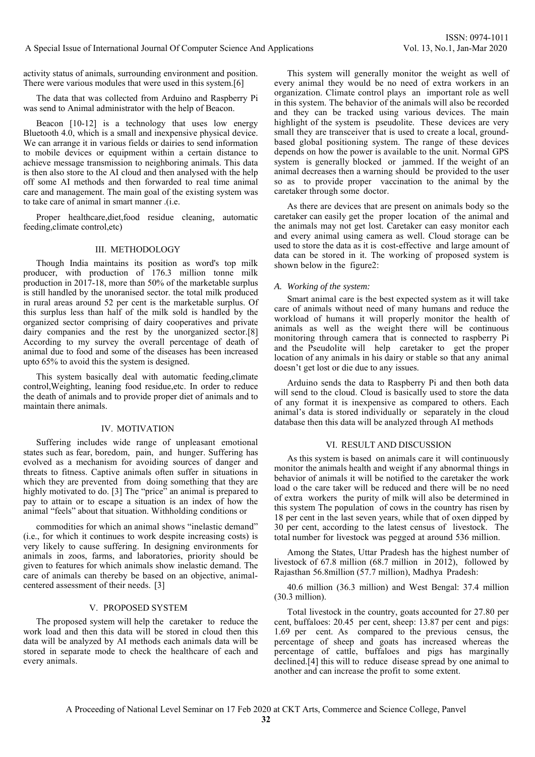A Special Issue of International Journal Of Computer Science And Applications Vol. 13, No.1, Jan-Mar 2020

activity status of animals, surrounding environment and position. There were various modules that were used in this system.[6]

The data that was collected from Arduino and Raspberry Pi was send to Animal administrator with the help of Beacon.

Beacon [10-12] is a technology that uses low energy Bluetooth 4.0, which is a small and inexpensive physical device. We can arrange it in various fields or dairies to send information to mobile devices or equipment within a certain distance to achieve message transmission to neighboring animals. This data is then also store to the AI cloud and then analysed with the help off some AI methods and then forwarded to real time animal care and management. The main goal of the existing system was to take care of animal in smart manner .(i.e.

Proper healthcare,diet,food residue cleaning, automatic feeding,climate control,etc)

## III. METHODOLOGY

Though India maintains its position as word's top milk producer, with production of 176.3 million tonne milk production in 2017-18, more than 50% of the marketable surplus is still handled by the unoranised sector. the total milk produced in rural areas around 52 per cent is the marketable surplus. Of this surplus less than half of the milk sold is handled by the organized sector comprising of dairy cooperatives and private dairy companies and the rest by the unorganized sector.[8] According to my survey the overall percentage of death of animal due to food and some of the diseases has been increased upto 65% to avoid this the system is designed.

This system basically deal with automatic feeding,climate control,Weighting, leaning food residue,etc. In order to reduce the death of animals and to provide proper diet of animals and to maintain there animals.

## IV. MOTIVATION

Suffering includes wide range of unpleasant emotional states such as fear, boredom, pain, and hunger. Suffering has evolved as a mechanism for avoiding sources of danger and threats to fitness. Captive animals often suffer in situations in which they are prevented from doing something that they are highly motivated to do. [3] The "price" an animal is prepared to pay to attain or to escape a situation is an index of how the animal "feels" about that situation. Withholding conditions or

commodities for which an animal shows "inelastic demand" (i.e., for which it continues to work despite increasing costs) is very likely to cause suffering. In designing environments for animals in zoos, farms, and laboratories, priority should be given to features for which animals show inelastic demand. The care of animals can thereby be based on an objective, animalcentered assessment of their needs. [3]

#### V. PROPOSED SYSTEM

The proposed system will help the caretaker to reduce the work load and then this data will be stored in cloud then this data will be analyzed by AI methods each animals data will be stored in separate mode to check the healthcare of each and every animals.

This system will generally monitor the weight as well of every animal they would be no need of extra workers in an organization. Climate control plays an important role as well in this system. The behavior of the animals will also be recorded and they can be tracked using various devices. The main highlight of the system is pseudolite. These devices are very small they are transceiver that is used to create a local, groundbased global positioning system. The range of these devices depends on how the power is available to the unit. Normal GPS system is generally blocked or jammed. If the weight of an animal decreases then a warning should be provided to the user so as to provide proper vaccination to the animal by the caretaker through some doctor.

As there are devices that are present on animals body so the caretaker can easily get the proper location of the animal and the animals may not get lost. Caretaker can easy monitor each and every animal using camera as well. Cloud storage can be used to store the data as it is cost-effective and large amount of data can be stored in it. The working of proposed system is shown below in the figure2:

#### *A. Working of the system:*

Smart animal care is the best expected system as it will take care of animals without need of many humans and reduce the workload of humans it will properly monitor the health of animals as well as the weight there will be continuous monitoring through camera that is connected to raspberry Pi and the Pseudolite will help caretaker to get the proper location of any animals in his dairy or stable so that any animal doesn't get lost or die due to any issues.

Arduino sends the data to Raspberry Pi and then both data will send to the cloud. Cloud is basically used to store the data of any format it is inexpensive as compared to others. Each animal's data is stored individually or separately in the cloud database then this data will be analyzed through AI methods

#### VI. RESULT AND DISCUSSION

As this system is based on animals care it will continuously monitor the animals health and weight if any abnormal things in behavior of animals it will be notified to the caretaker the work load o the care taker will be reduced and there will be no need of extra workers the purity of milk will also be determined in this system The population of cows in the country has risen by 18 per cent in the last seven years, while that of oxen dipped by 30 per cent, according to the latest census of livestock. The total number for livestock was pegged at around 536 million.

Among the States, Uttar Pradesh has the highest number of livestock of 67.8 million (68.7 million in 2012), followed by Rajasthan 56.8million (57.7 million), Madhya Pradesh:

40.6 million (36.3 million) and West Bengal: 37.4 million (30.3 million).

Total livestock in the country, goats accounted for 27.80 per cent, buffaloes: 20.45 per cent, sheep: 13.87 per cent and pigs: 1.69 per cent. As compared to the previous census, the percentage of sheep and goats has increased whereas the percentage of cattle, buffaloes and pigs has marginally declined.[4] this will to reduce disease spread by one animal to another and can increase the profit to some extent.